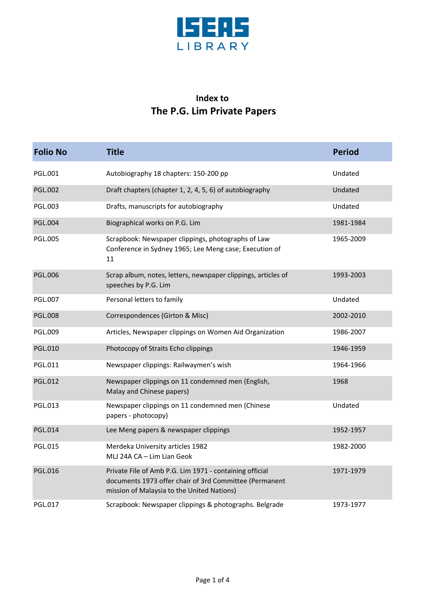

## **Index to The P.G. Lim Private Papers**

| <b>Folio No</b> | <b>Title</b>                                                                                                                                                    | <b>Period</b> |
|-----------------|-----------------------------------------------------------------------------------------------------------------------------------------------------------------|---------------|
| PGL.001         | Autobiography 18 chapters: 150-200 pp                                                                                                                           | Undated       |
| <b>PGL.002</b>  | Draft chapters (chapter 1, 2, 4, 5, 6) of autobiography                                                                                                         | Undated       |
| <b>PGL.003</b>  | Drafts, manuscripts for autobiography                                                                                                                           | Undated       |
| <b>PGL.004</b>  | Biographical works on P.G. Lim                                                                                                                                  | 1981-1984     |
| <b>PGL.005</b>  | Scrapbook: Newspaper clippings, photographs of Law<br>Conference in Sydney 1965; Lee Meng case; Execution of<br>11                                              | 1965-2009     |
| <b>PGL.006</b>  | Scrap album, notes, letters, newspaper clippings, articles of<br>speeches by P.G. Lim                                                                           | 1993-2003     |
| <b>PGL.007</b>  | Personal letters to family                                                                                                                                      | Undated       |
| <b>PGL.008</b>  | Correspondences (Girton & Misc)                                                                                                                                 | 2002-2010     |
| <b>PGL.009</b>  | Articles, Newspaper clippings on Women Aid Organization                                                                                                         | 1986-2007     |
| <b>PGL.010</b>  | Photocopy of Straits Echo clippings                                                                                                                             | 1946-1959     |
| <b>PGL.011</b>  | Newspaper clippings: Railwaymen's wish                                                                                                                          | 1964-1966     |
| <b>PGL.012</b>  | Newspaper clippings on 11 condemned men (English,<br>Malay and Chinese papers)                                                                                  | 1968          |
| PGL.013         | Newspaper clippings on 11 condemned men (Chinese<br>papers - photocopy)                                                                                         | Undated       |
| <b>PGL.014</b>  | Lee Meng papers & newspaper clippings                                                                                                                           | 1952-1957     |
| <b>PGL.015</b>  | Merdeka University articles 1982<br>MLJ 24A CA - Lim Lian Geok                                                                                                  | 1982-2000     |
| <b>PGL.016</b>  | Private File of Amb P.G. Lim 1971 - containing official<br>documents 1973 offer chair of 3rd Committee (Permanent<br>mission of Malaysia to the United Nations) | 1971-1979     |
| <b>PGL.017</b>  | Scrapbook: Newspaper clippings & photographs. Belgrade                                                                                                          | 1973-1977     |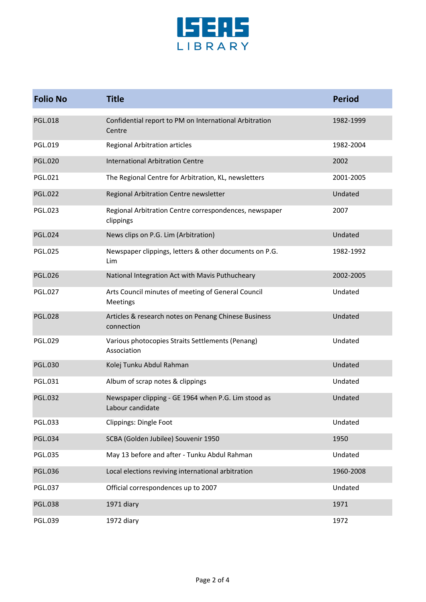

| <b>Folio No</b> | <b>Title</b>                                                            | <b>Period</b> |
|-----------------|-------------------------------------------------------------------------|---------------|
| <b>PGL.018</b>  | Confidential report to PM on International Arbitration<br>Centre        | 1982-1999     |
| PGL.019         | <b>Regional Arbitration articles</b>                                    | 1982-2004     |
| <b>PGL.020</b>  | <b>International Arbitration Centre</b>                                 | 2002          |
| PGL.021         | The Regional Centre for Arbitration, KL, newsletters                    | 2001-2005     |
| <b>PGL.022</b>  | Regional Arbitration Centre newsletter                                  | Undated       |
| PGL.023         | Regional Arbitration Centre correspondences, newspaper<br>clippings     | 2007          |
| <b>PGL.024</b>  | News clips on P.G. Lim (Arbitration)                                    | Undated       |
| <b>PGL.025</b>  | Newspaper clippings, letters & other documents on P.G.<br>Lim           | 1982-1992     |
| <b>PGL.026</b>  | National Integration Act with Mavis Puthucheary                         | 2002-2005     |
| <b>PGL.027</b>  | Arts Council minutes of meeting of General Council<br><b>Meetings</b>   | Undated       |
| <b>PGL.028</b>  | Articles & research notes on Penang Chinese Business<br>connection      | Undated       |
| PGL.029         | Various photocopies Straits Settlements (Penang)<br>Association         | Undated       |
| <b>PGL.030</b>  | Kolej Tunku Abdul Rahman                                                | Undated       |
| PGL.031         | Album of scrap notes & clippings                                        | Undated       |
| <b>PGL.032</b>  | Newspaper clipping - GE 1964 when P.G. Lim stood as<br>Labour candidate | Undated       |
| PGL.033         | Clippings: Dingle Foot                                                  | Undated       |
| <b>PGL.034</b>  | SCBA (Golden Jubilee) Souvenir 1950                                     | 1950          |
| <b>PGL.035</b>  | May 13 before and after - Tunku Abdul Rahman                            | Undated       |
| <b>PGL.036</b>  | Local elections reviving international arbitration                      | 1960-2008     |
| PGL.037         | Official correspondences up to 2007                                     | Undated       |
| <b>PGL.038</b>  | 1971 diary                                                              | 1971          |
| PGL.039         | 1972 diary                                                              | 1972          |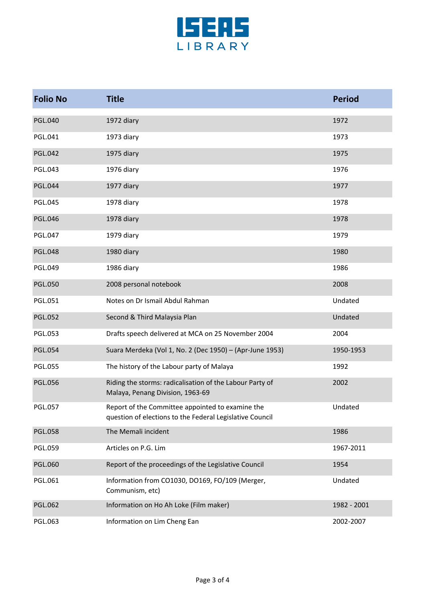

| <b>Folio No</b> | <b>Title</b>                                                                                                 | <b>Period</b> |
|-----------------|--------------------------------------------------------------------------------------------------------------|---------------|
| <b>PGL.040</b>  | 1972 diary                                                                                                   | 1972          |
| PGL.041         | 1973 diary                                                                                                   | 1973          |
| <b>PGL.042</b>  | 1975 diary                                                                                                   | 1975          |
| <b>PGL.043</b>  | 1976 diary                                                                                                   | 1976          |
| <b>PGL.044</b>  | 1977 diary                                                                                                   | 1977          |
| <b>PGL.045</b>  | 1978 diary                                                                                                   | 1978          |
| <b>PGL.046</b>  | 1978 diary                                                                                                   | 1978          |
| <b>PGL.047</b>  | 1979 diary                                                                                                   | 1979          |
| <b>PGL.048</b>  | 1980 diary                                                                                                   | 1980          |
| <b>PGL.049</b>  | 1986 diary                                                                                                   | 1986          |
| <b>PGL.050</b>  | 2008 personal notebook                                                                                       | 2008          |
| <b>PGL.051</b>  | Notes on Dr Ismail Abdul Rahman                                                                              | Undated       |
| <b>PGL.052</b>  | Second & Third Malaysia Plan                                                                                 | Undated       |
| <b>PGL.053</b>  | Drafts speech delivered at MCA on 25 November 2004                                                           | 2004          |
| <b>PGL.054</b>  | Suara Merdeka (Vol 1, No. 2 (Dec 1950) - (Apr-June 1953)                                                     | 1950-1953     |
| <b>PGL.055</b>  | The history of the Labour party of Malaya                                                                    | 1992          |
| <b>PGL.056</b>  | Riding the storms: radicalisation of the Labour Party of<br>Malaya, Penang Division, 1963-69                 | 2002          |
| <b>PGL.057</b>  | Report of the Committee appointed to examine the<br>question of elections to the Federal Legislative Council | Undated       |
| <b>PGL.058</b>  | The Memali incident                                                                                          | 1986          |
| <b>PGL.059</b>  | Articles on P.G. Lim                                                                                         | 1967-2011     |
| PGL.060         | Report of the proceedings of the Legislative Council                                                         | 1954          |
| PGL.061         | Information from CO1030, DO169, FO/109 (Merger,<br>Communism, etc)                                           | Undated       |
| PGL.062         | Information on Ho Ah Loke (Film maker)                                                                       | 1982 - 2001   |
| PGL.063         | Information on Lim Cheng Ean                                                                                 | 2002-2007     |